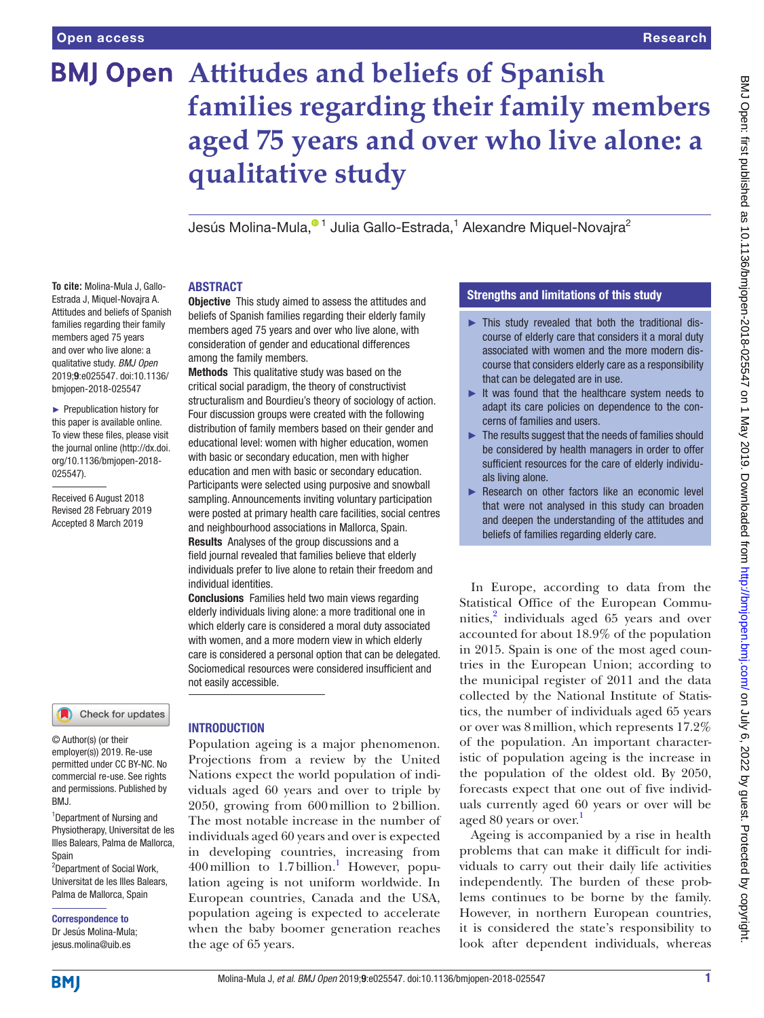# **BMJ Open Attitudes and beliefs of Spanish families regarding their family members aged 75 years and over who live alone: a qualitative study**

JesúsMolina-Mula,<sup>o 1</sup> Julia Gallo-Estrada,<sup>1</sup> Alexandre Miquel-Novajra<sup>2</sup>

#### **ABSTRACT**

among the family members.

**Objective** This study aimed to assess the attitudes and beliefs of Spanish families regarding their elderly family members aged 75 years and over who live alone, with consideration of gender and educational differences

Methods This qualitative study was based on the critical social paradigm, the theory of constructivist structuralism and Bourdieu's theory of sociology of action. Four discussion groups were created with the following distribution of family members based on their gender and educational level: women with higher education, women with basic or secondary education, men with higher education and men with basic or secondary education. Participants were selected using purposive and snowball sampling. Announcements inviting voluntary participation were posted at primary health care facilities, social centres and neighbourhood associations in Mallorca, Spain. Results Analyses of the group discussions and a field journal revealed that families believe that elderly individuals prefer to live alone to retain their freedom and

Conclusions Families held two main views regarding elderly individuals living alone: a more traditional one in which elderly care is considered a moral duty associated with women, and a more modern view in which elderly care is considered a personal option that can be delegated. Sociomedical resources were considered insufficient and

**To cite:** Molina-Mula J, Gallo-Estrada J, Miquel-Novajra A. Attitudes and beliefs of Spanish families regarding their family members aged 75 years and over who live alone: a qualitative study. *BMJ Open* 2019;9:e025547. doi:10.1136/ bmjopen-2018-025547

► Prepublication history for this paper is available online. To view these files, please visit the journal online [\(http://dx.doi.](http://dx.doi.org/10.1136/bmjopen-2018-025547) [org/10.1136/bmjopen-2018-](http://dx.doi.org/10.1136/bmjopen-2018-025547) [025547\)](http://dx.doi.org/10.1136/bmjopen-2018-025547).

Received 6 August 2018 Revised 28 February 2019 Accepted 8 March 2019

#### Check for updates

© Author(s) (or their employer(s)) 2019. Re-use permitted under CC BY-NC. No commercial re-use. See rights and permissions. Published by RM<sub>J</sub>

<sup>1</sup>Department of Nursing and Physiotherapy, Universitat de les Illes Balears, Palma de Mallorca, Spain

2 Department of Social Work, Universitat de les Illes Balears, Palma de Mallorca, Spain

Correspondence to Dr Jesús Molina-Mula; jesus.molina@uib.es

# **INTRODUCTION**

not easily accessible.

individual identities.

Population ageing is a major phenomenon. Projections from a review by the United Nations expect the world population of individuals aged 60 years and over to triple by 2050, growing from 600million to 2billion. The most notable increase in the number of individuals aged 60 years and over is expected in developing countries, increasing from  $400$  million to  $1.7$  $1.7$  billion.<sup>1</sup> However, population ageing is not uniform worldwide. In European countries, Canada and the USA, population ageing is expected to accelerate when the baby boomer generation reaches the age of 65 years.

# Strengths and limitations of this study

- ► This study revealed that both the traditional discourse of elderly care that considers it a moral duty associated with women and the more modern discourse that considers elderly care as a responsibility that can be delegated are in use.
- $\blacktriangleright$  It was found that the healthcare system needs to adapt its care policies on dependence to the concerns of families and users.
- $\blacktriangleright$  The results suggest that the needs of families should be considered by health managers in order to offer sufficient resources for the care of elderly individuals living alone.
- ► Research on other factors like an economic level that were not analysed in this study can broaden and deepen the understanding of the attitudes and beliefs of families regarding elderly care.

In Europe, according to data from the Statistical Office of the European Communities,<sup>2</sup> individuals aged 65 years and over accounted for about 18.9% of the population in 2015. Spain is one of the most aged countries in the European Union; according to the municipal register of 2011 and the data collected by the National Institute of Statistics, the number of individuals aged 65 years or over was 8million, which represents 17.2% of the population. An important characteristic of population ageing is the increase in the population of the oldest old. By 2050, forecasts expect that one out of five individuals currently aged 60 years or over will be aged 80 years or over.

Ageing is accompanied by a rise in health problems that can make it difficult for individuals to carry out their daily life activities independently. The burden of these problems continues to be borne by the family. However, in northern European countries, it is considered the state's responsibility to look after dependent individuals, whereas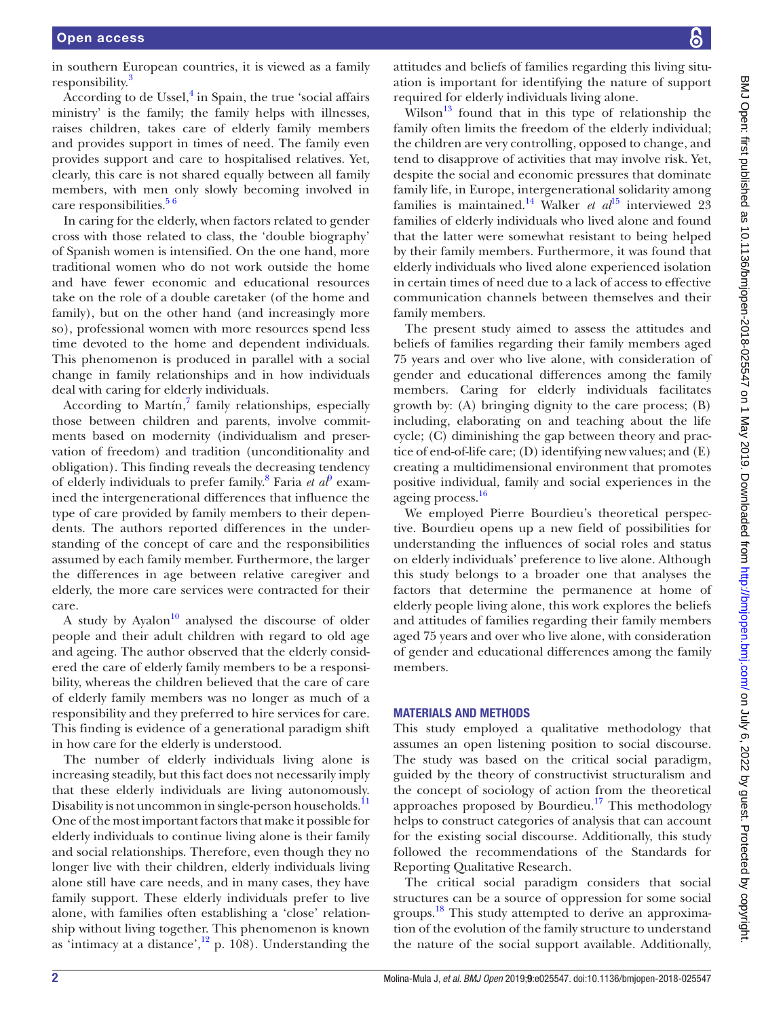in southern European countries, it is viewed as a family responsibility.<sup>[3](#page-9-2)</sup>

According to de Ussel,<sup>[4](#page-9-3)</sup> in Spain, the true 'social affairs ministry' is the family; the family helps with illnesses, raises children, takes care of elderly family members and provides support in times of need. The family even provides support and care to hospitalised relatives. Yet, clearly, this care is not shared equally between all family members, with men only slowly becoming involved in care responsibilities.<sup>56</sup>

In caring for the elderly, when factors related to gender cross with those related to class, the 'double biography' of Spanish women is intensified. On the one hand, more traditional women who do not work outside the home and have fewer economic and educational resources take on the role of a double caretaker (of the home and family), but on the other hand (and increasingly more so), professional women with more resources spend less time devoted to the home and dependent individuals. This phenomenon is produced in parallel with a social change in family relationships and in how individuals deal with caring for elderly individuals.

According to Martín,<sup>[7](#page-9-5)</sup> family relationships, especially those between children and parents, involve commitments based on modernity (individualism and preservation of freedom) and tradition (unconditionality and obligation). This finding reveals the decreasing tendency of elderly individuals to prefer family.<sup>[8](#page-9-6)</sup> Faria et al<sup>[9](#page-9-7)</sup> examined the intergenerational differences that influence the type of care provided by family members to their dependents. The authors reported differences in the understanding of the concept of care and the responsibilities assumed by each family member. Furthermore, the larger the differences in age between relative caregiver and elderly, the more care services were contracted for their care.

A study by Ayalon $10$  analysed the discourse of older people and their adult children with regard to old age and ageing. The author observed that the elderly considered the care of elderly family members to be a responsibility, whereas the children believed that the care of care of elderly family members was no longer as much of a responsibility and they preferred to hire services for care. This finding is evidence of a generational paradigm shift in how care for the elderly is understood.

The number of elderly individuals living alone is increasing steadily, but this fact does not necessarily imply that these elderly individuals are living autonomously. Disability is not uncommon in single-person households.<sup>11</sup> One of the most important factors that make it possible for elderly individuals to continue living alone is their family and social relationships. Therefore, even though they no longer live with their children, elderly individuals living alone still have care needs, and in many cases, they have family support. These elderly individuals prefer to live alone, with families often establishing a 'close' relationship without living together. This phenomenon is known as 'intimacy at a distance', $12$  p. 108). Understanding the

attitudes and beliefs of families regarding this living situation is important for identifying the nature of support required for elderly individuals living alone.

Wilson<sup>13</sup> found that in this type of relationship the family often limits the freedom of the elderly individual; the children are very controlling, opposed to change, and tend to disapprove of activities that may involve risk. Yet, despite the social and economic pressures that dominate family life, in Europe, intergenerational solidarity among families is maintained.<sup>14</sup> Walker *et al*<sup>[15](#page-9-13)</sup> interviewed 23 families of elderly individuals who lived alone and found that the latter were somewhat resistant to being helped by their family members. Furthermore, it was found that elderly individuals who lived alone experienced isolation in certain times of need due to a lack of access to effective communication channels between themselves and their family members.

The present study aimed to assess the attitudes and beliefs of families regarding their family members aged 75 years and over who live alone, with consideration of gender and educational differences among the family members. Caring for elderly individuals facilitates growth by: (A) bringing dignity to the care process; (B) including, elaborating on and teaching about the life cycle; (C) diminishing the gap between theory and practice of end-of-life care; (D) identifying new values; and (E) creating a multidimensional environment that promotes positive individual, family and social experiences in the ageing process.<sup>16</sup>

We employed Pierre Bourdieu's theoretical perspective. Bourdieu opens up a new field of possibilities for understanding the influences of social roles and status on elderly individuals' preference to live alone. Although this study belongs to a broader one that analyses the factors that determine the permanence at home of elderly people living alone, this work explores the beliefs and attitudes of families regarding their family members aged 75 years and over who live alone, with consideration of gender and educational differences among the family members.

#### Materials and methods

This study employed a qualitative methodology that assumes an open listening position to social discourse. The study was based on the critical social paradigm, guided by the theory of constructivist structuralism and the concept of sociology of action from the theoretical approaches proposed by Bourdieu.<sup>17</sup> This methodology helps to construct categories of analysis that can account for the existing social discourse. Additionally, this study followed the recommendations of the Standards for Reporting Qualitative Research.

The critical social paradigm considers that social structures can be a source of oppression for some social groups. [18](#page-9-16) This study attempted to derive an approximation of the evolution of the family structure to understand the nature of the social support available. Additionally,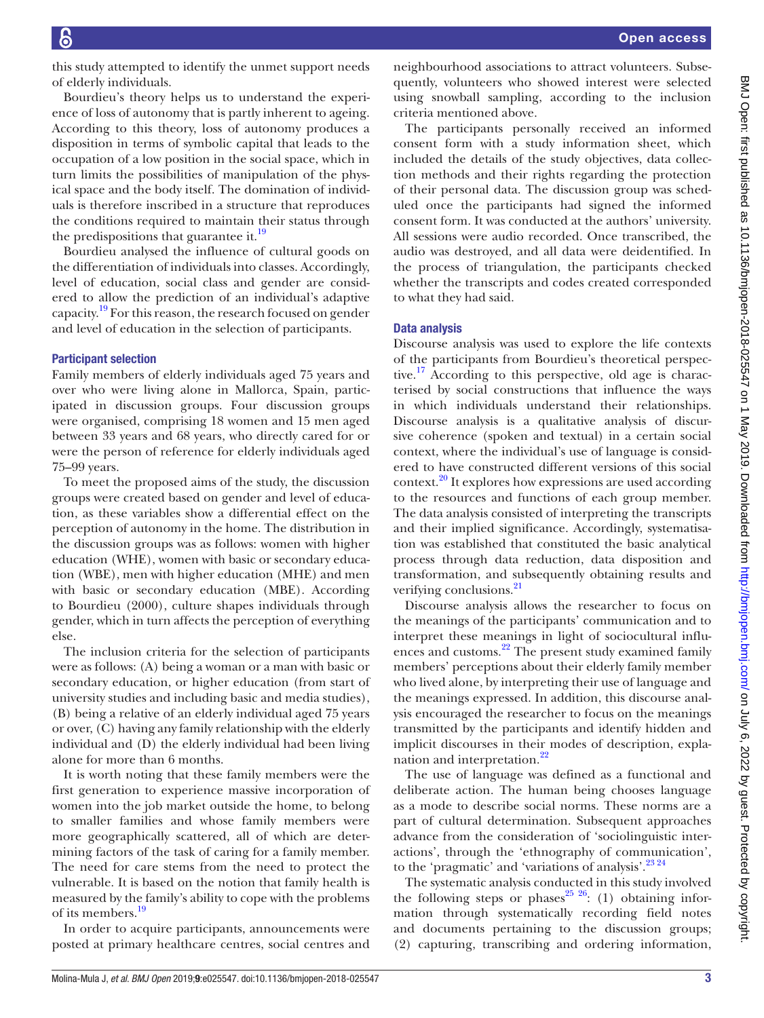this study attempted to identify the unmet support needs of elderly individuals.

Bourdieu's theory helps us to understand the experience of loss of autonomy that is partly inherent to ageing. According to this theory, loss of autonomy produces a disposition in terms of symbolic capital that leads to the occupation of a low position in the social space, which in turn limits the possibilities of manipulation of the physical space and the body itself. The domination of individuals is therefore inscribed in a structure that reproduces the conditions required to maintain their status through the predispositions that guarantee it.<sup>[19](#page-9-17)</sup>

Bourdieu analysed the influence of cultural goods on the differentiation of individuals into classes. Accordingly, level of education, social class and gender are considered to allow the prediction of an individual's adaptive capacity[.19](#page-9-17) For this reason, the research focused on gender and level of education in the selection of participants.

#### Participant selection

Family members of elderly individuals aged 75 years and over who were living alone in Mallorca, Spain, participated in discussion groups. Four discussion groups were organised, comprising 18 women and 15 men aged between 33 years and 68 years, who directly cared for or were the person of reference for elderly individuals aged 75–99 years.

To meet the proposed aims of the study, the discussion groups were created based on gender and level of education, as these variables show a differential effect on the perception of autonomy in the home. The distribution in the discussion groups was as follows: women with higher education (WHE), women with basic or secondary education (WBE), men with higher education (MHE) and men with basic or secondary education (MBE). According to Bourdieu (2000), culture shapes individuals through gender, which in turn affects the perception of everything else.

The inclusion criteria for the selection of participants were as follows: (A) being a woman or a man with basic or secondary education, or higher education (from start of university studies and including basic and media studies), (B) being a relative of an elderly individual aged 75 years or over, (C) having any family relationship with the elderly individual and (D) the elderly individual had been living alone for more than 6 months.

It is worth noting that these family members were the first generation to experience massive incorporation of women into the job market outside the home, to belong to smaller families and whose family members were more geographically scattered, all of which are determining factors of the task of caring for a family member. The need for care stems from the need to protect the vulnerable. It is based on the notion that family health is measured by the family's ability to cope with the problems of its members[.19](#page-9-17)

In order to acquire participants, announcements were posted at primary healthcare centres, social centres and

neighbourhood associations to attract volunteers. Subsequently, volunteers who showed interest were selected using snowball sampling, according to the inclusion criteria mentioned above.

The participants personally received an informed consent form with a study information sheet, which included the details of the study objectives, data collection methods and their rights regarding the protection of their personal data. The discussion group was scheduled once the participants had signed the informed consent form. It was conducted at the authors' university. All sessions were audio recorded. Once transcribed, the audio was destroyed, and all data were deidentified. In the process of triangulation, the participants checked whether the transcripts and codes created corresponded to what they had said.

#### Data analysis

Discourse analysis was used to explore the life contexts of the participants from Bourdieu's theoretical perspective.<sup>17</sup> According to this perspective, old age is characterised by social constructions that influence the ways in which individuals understand their relationships. Discourse analysis is a qualitative analysis of discursive coherence (spoken and textual) in a certain social context, where the individual's use of language is considered to have constructed different versions of this social context[.20](#page-9-18) It explores how expressions are used according to the resources and functions of each group member. The data analysis consisted of interpreting the transcripts and their implied significance. Accordingly, systematisation was established that constituted the basic analytical process through data reduction, data disposition and transformation, and subsequently obtaining results and verifying conclusions.<sup>21</sup>

Discourse analysis allows the researcher to focus on the meanings of the participants' communication and to interpret these meanings in light of sociocultural influences and customs.<sup>22</sup> The present study examined family members' perceptions about their elderly family member who lived alone, by interpreting their use of language and the meanings expressed. In addition, this discourse analysis encouraged the researcher to focus on the meanings transmitted by the participants and identify hidden and implicit discourses in their modes of description, explanation and interpretation.<sup>22</sup>

The use of language was defined as a functional and deliberate action. The human being chooses language as a mode to describe social norms. These norms are a part of cultural determination. Subsequent approaches advance from the consideration of 'sociolinguistic interactions', through the 'ethnography of communication', to the 'pragmatic' and 'variations of analysis'.<sup>[23 24](#page-10-1)</sup>

The systematic analysis conducted in this study involved the following steps or phases<sup>25 26</sup>: (1) obtaining information through systematically recording field notes and documents pertaining to the discussion groups; (2) capturing, transcribing and ordering information,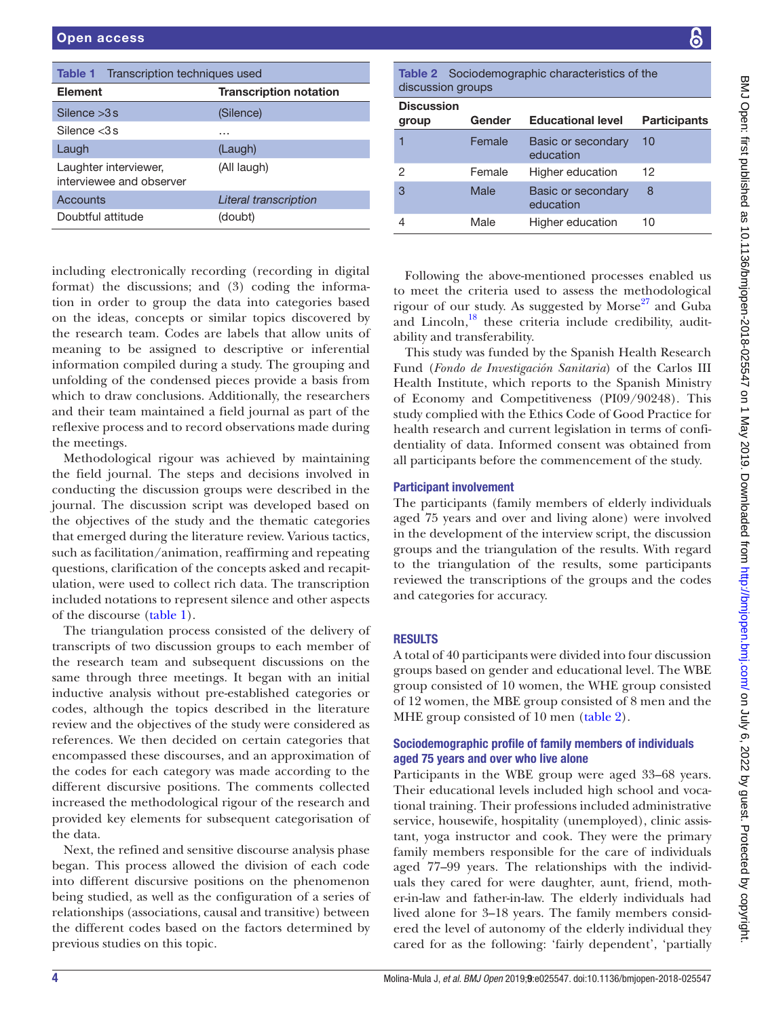<span id="page-3-0"></span>

| <b>Table 1</b> Transcription techniques used      |                               |  |
|---------------------------------------------------|-------------------------------|--|
| <b>Element</b>                                    | <b>Transcription notation</b> |  |
| Silence $>3s$                                     | (Silence)                     |  |
| Silence $<$ 3 s                                   | .                             |  |
| Laugh                                             | (Laugh)                       |  |
| Laughter interviewer,<br>interviewee and observer | (All laugh)                   |  |
| Accounts                                          | Literal transcription         |  |
| Doubtful attitude                                 | (doubt)                       |  |

including electronically recording (recording in digital format) the discussions; and (3) coding the information in order to group the data into categories based on the ideas, concepts or similar topics discovered by the research team. Codes are labels that allow units of meaning to be assigned to descriptive or inferential information compiled during a study. The grouping and unfolding of the condensed pieces provide a basis from which to draw conclusions. Additionally, the researchers and their team maintained a field journal as part of the reflexive process and to record observations made during the meetings.

Methodological rigour was achieved by maintaining the field journal. The steps and decisions involved in conducting the discussion groups were described in the journal. The discussion script was developed based on the objectives of the study and the thematic categories that emerged during the literature review. Various tactics, such as facilitation/animation, reaffirming and repeating questions, clarification of the concepts asked and recapitulation, were used to collect rich data. The transcription included notations to represent silence and other aspects of the discourse [\(table](#page-3-0) 1).

The triangulation process consisted of the delivery of transcripts of two discussion groups to each member of the research team and subsequent discussions on the same through three meetings. It began with an initial inductive analysis without pre-established categories or codes, although the topics described in the literature review and the objectives of the study were considered as references. We then decided on certain categories that encompassed these discourses, and an approximation of the codes for each category was made according to the different discursive positions. The comments collected increased the methodological rigour of the research and provided key elements for subsequent categorisation of the data.

Next, the refined and sensitive discourse analysis phase began. This process allowed the division of each code into different discursive positions on the phenomenon being studied, as well as the configuration of a series of relationships (associations, causal and transitive) between the different codes based on the factors determined by previous studies on this topic.

<span id="page-3-1"></span>Table 2 Sociodemographic characteristics of the discussion groups

| <b>Discussion</b><br>group | Gender | <b>Educational level</b>        | <b>Participants</b> |
|----------------------------|--------|---------------------------------|---------------------|
|                            | Female | Basic or secondary<br>education | 10                  |
| 2                          | Female | Higher education                | 12                  |
| 3                          | Male   | Basic or secondary<br>education | 8                   |
|                            | Male   | Higher education                | 10                  |

Following the above-mentioned processes enabled us to meet the criteria used to assess the methodological rigour of our study. As suggested by Morse $^{27}$  and Guba and Lincoln, $18$  these criteria include credibility, auditability and transferability.

This study was funded by the Spanish Health Research Fund (*Fondo de Investigación Sanitaria*) of the Carlos III Health Institute, which reports to the Spanish Ministry of Economy and Competitiveness (PI09/90248). This study complied with the Ethics Code of Good Practice for health research and current legislation in terms of confidentiality of data. Informed consent was obtained from all participants before the commencement of the study.

# Participant involvement

The participants (family members of elderly individuals aged 75 years and over and living alone) were involved in the development of the interview script, the discussion groups and the triangulation of the results. With regard to the triangulation of the results, some participants reviewed the transcriptions of the groups and the codes and categories for accuracy.

# **RESULTS**

A total of 40 participants were divided into four discussion groups based on gender and educational level. The WBE group consisted of 10 women, the WHE group consisted of 12 women, the MBE group consisted of 8 men and the MHE group consisted of 10 men [\(table](#page-3-1) 2).

### Sociodemographic profile of family members of individuals aged 75 years and over who live alone

Participants in the WBE group were aged 33–68 years. Their educational levels included high school and vocational training. Their professions included administrative service, housewife, hospitality (unemployed), clinic assistant, yoga instructor and cook. They were the primary family members responsible for the care of individuals aged 77–99 years. The relationships with the individuals they cared for were daughter, aunt, friend, mother-in-law and father-in-law. The elderly individuals had lived alone for 3–18 years. The family members considered the level of autonomy of the elderly individual they cared for as the following: 'fairly dependent', 'partially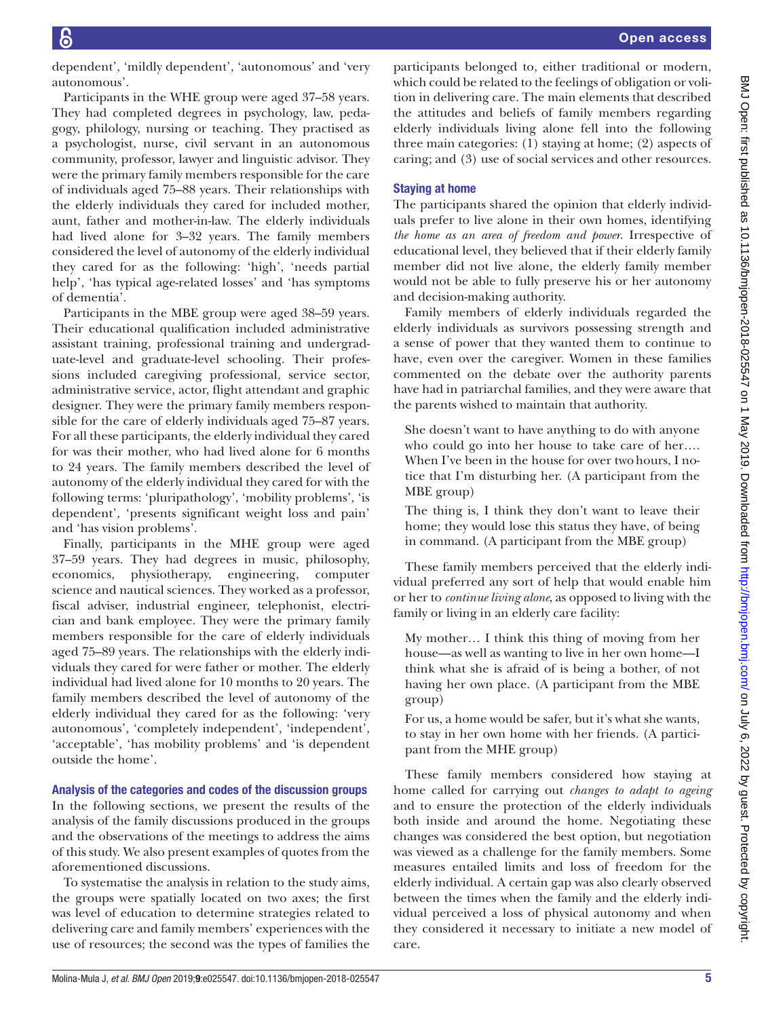dependent', 'mildly dependent', 'autonomous' and 'very autonomous'.

Participants in the WHE group were aged 37–58 years. They had completed degrees in psychology, law, pedagogy, philology, nursing or teaching. They practised as a psychologist, nurse, civil servant in an autonomous community, professor, lawyer and linguistic advisor. They were the primary family members responsible for the care of individuals aged 75–88 years. Their relationships with the elderly individuals they cared for included mother, aunt, father and mother-in-law. The elderly individuals had lived alone for 3–32 years. The family members considered the level of autonomy of the elderly individual they cared for as the following: 'high', 'needs partial help', 'has typical age-related losses' and 'has symptoms of dementia'.

Participants in the MBE group were aged 38–59 years. Their educational qualification included administrative assistant training, professional training and undergraduate-level and graduate-level schooling. Their professions included caregiving professional, service sector, administrative service, actor, flight attendant and graphic designer. They were the primary family members responsible for the care of elderly individuals aged 75–87 years. For all these participants, the elderly individual they cared for was their mother, who had lived alone for 6 months to 24 years. The family members described the level of autonomy of the elderly individual they cared for with the following terms: 'pluripathology', 'mobility problems', 'is dependent', 'presents significant weight loss and pain' and 'has vision problems'.

Finally, participants in the MHE group were aged 37–59 years. They had degrees in music, philosophy, economics, physiotherapy, engineering, computer science and nautical sciences. They worked as a professor, fiscal adviser, industrial engineer, telephonist, electrician and bank employee. They were the primary family members responsible for the care of elderly individuals aged 75–89 years. The relationships with the elderly individuals they cared for were father or mother. The elderly individual had lived alone for 10 months to 20 years. The family members described the level of autonomy of the elderly individual they cared for as the following: 'very autonomous', 'completely independent', 'independent', 'acceptable', 'has mobility problems' and 'is dependent outside the home'.

Analysis of the categories and codes of the discussion groups In the following sections, we present the results of the analysis of the family discussions produced in the groups and the observations of the meetings to address the aims of this study. We also present examples of quotes from the aforementioned discussions.

To systematise the analysis in relation to the study aims, the groups were spatially located on two axes; the first was level of education to determine strategies related to delivering care and family members' experiences with the use of resources; the second was the types of families the

participants belonged to, either traditional or modern, which could be related to the feelings of obligation or volition in delivering care. The main elements that described the attitudes and beliefs of family members regarding elderly individuals living alone fell into the following three main categories: (1) staying at home; (2) aspects of caring; and (3) use of social services and other resources.

# Staying at home

The participants shared the opinion that elderly individuals prefer to live alone in their own homes, identifying *the home as an area of freedom and power*. Irrespective of educational level, they believed that if their elderly family member did not live alone, the elderly family member would not be able to fully preserve his or her autonomy and decision-making authority.

Family members of elderly individuals regarded the elderly individuals as survivors possessing strength and a sense of power that they wanted them to continue to have, even over the caregiver. Women in these families commented on the debate over the authority parents have had in patriarchal families, and they were aware that the parents wished to maintain that authority.

She doesn't want to have anything to do with anyone who could go into her house to take care of her…. When I've been in the house for over twohours, I notice that I'm disturbing her. (A participant from the MBE group)

The thing is, I think they don't want to leave their home; they would lose this status they have, of being in command. (A participant from the MBE group)

These family members perceived that the elderly individual preferred any sort of help that would enable him or her to *continue living alone*, as opposed to living with the family or living in an elderly care facility:

My mother… I think this thing of moving from her house—as well as wanting to live in her own home—I think what she is afraid of is being a bother, of not having her own place. (A participant from the MBE group)

For us, a home would be safer, but it's what she wants, to stay in her own home with her friends. (A participant from the MHE group)

These family members considered how staying at home called for carrying out *changes to adapt to ageing* and to ensure the protection of the elderly individuals both inside and around the home. Negotiating these changes was considered the best option, but negotiation was viewed as a challenge for the family members. Some measures entailed limits and loss of freedom for the elderly individual. A certain gap was also clearly observed between the times when the family and the elderly individual perceived a loss of physical autonomy and when they considered it necessary to initiate a new model of care.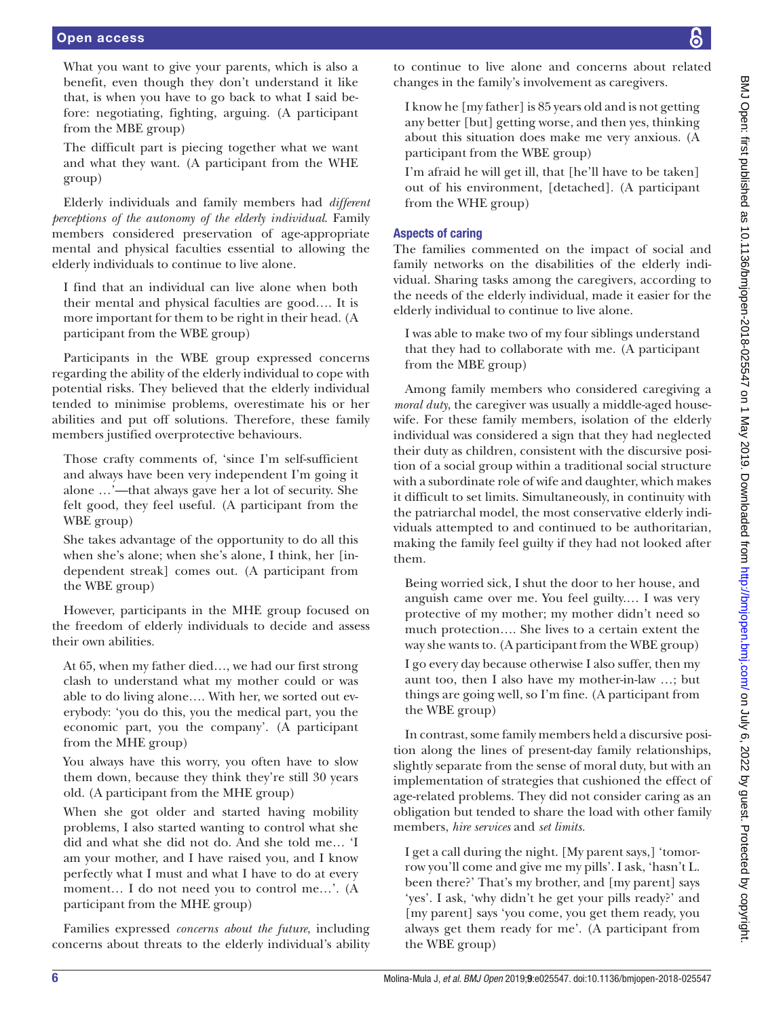#### Open access

What you want to give your parents, which is also a benefit, even though they don't understand it like that, is when you have to go back to what I said before: negotiating, fighting, arguing. (A participant from the MBE group)

The difficult part is piecing together what we want and what they want. (A participant from the WHE group)

Elderly individuals and family members had *different perceptions of the autonomy of the elderly individual*. Family members considered preservation of age-appropriate mental and physical faculties essential to allowing the elderly individuals to continue to live alone.

I find that an individual can live alone when both their mental and physical faculties are good…. It is more important for them to be right in their head. (A participant from the WBE group)

Participants in the WBE group expressed concerns regarding the ability of the elderly individual to cope with potential risks. They believed that the elderly individual tended to minimise problems, overestimate his or her abilities and put off solutions. Therefore, these family members justified overprotective behaviours.

Those crafty comments of, 'since I'm self-sufficient and always have been very independent I'm going it alone …'—that always gave her a lot of security. She felt good, they feel useful. (A participant from the WBE group)

She takes advantage of the opportunity to do all this when she's alone; when she's alone, I think, her [independent streak] comes out. (A participant from the WBE group)

However, participants in the MHE group focused on the freedom of elderly individuals to decide and assess their own abilities.

At 65, when my father died…, we had our first strong clash to understand what my mother could or was able to do living alone…. With her, we sorted out everybody: 'you do this, you the medical part, you the economic part, you the company'. (A participant from the MHE group)

You always have this worry, you often have to slow them down, because they think they're still 30 years old. (A participant from the MHE group)

When she got older and started having mobility problems, I also started wanting to control what she did and what she did not do. And she told me… 'I am your mother, and I have raised you, and I know perfectly what I must and what I have to do at every moment… I do not need you to control me…'. (A participant from the MHE group)

Families expressed *concerns about the future*, including concerns about threats to the elderly individual's ability

to continue to live alone and concerns about related changes in the family's involvement as caregivers.

I know he [my father] is 85 years old and is not getting any better [but] getting worse, and then yes, thinking about this situation does make me very anxious. (A participant from the WBE group)

I'm afraid he will get ill, that [he'll have to be taken] out of his environment, [detached]. (A participant from the WHE group)

# Aspects of caring

The families commented on the impact of social and family networks on the disabilities of the elderly individual. Sharing tasks among the caregivers, according to the needs of the elderly individual, made it easier for the elderly individual to continue to live alone.

I was able to make two of my four siblings understand that they had to collaborate with me. (A participant from the MBE group)

Among family members who considered caregiving a *moral duty*, the caregiver was usually a middle-aged housewife. For these family members, isolation of the elderly individual was considered a sign that they had neglected their duty as children, consistent with the discursive position of a social group within a traditional social structure with a subordinate role of wife and daughter, which makes it difficult to set limits. Simultaneously, in continuity with the patriarchal model, the most conservative elderly individuals attempted to and continued to be authoritarian, making the family feel guilty if they had not looked after them.

Being worried sick, I shut the door to her house, and anguish came over me. You feel guilty.… I was very protective of my mother; my mother didn't need so much protection…. She lives to a certain extent the way she wants to. (A participant from the WBE group)

I go every day because otherwise I also suffer, then my aunt too, then I also have my mother-in-law …; but things are going well, so I'm fine. (A participant from the WBE group)

In contrast, some family members held a discursive position along the lines of present-day family relationships, slightly separate from the sense of moral duty, but with an implementation of strategies that cushioned the effect of age-related problems. They did not consider caring as an obligation but tended to share the load with other family members, *hire services* and *set limits.*

I get a call during the night. [My parent says,] 'tomorrow you'll come and give me my pills'. I ask, 'hasn't L. been there?' That's my brother, and [my parent] says 'yes'. I ask, 'why didn't he get your pills ready?' and [my parent] says 'you come, you get them ready, you always get them ready for me'. (A participant from the WBE group)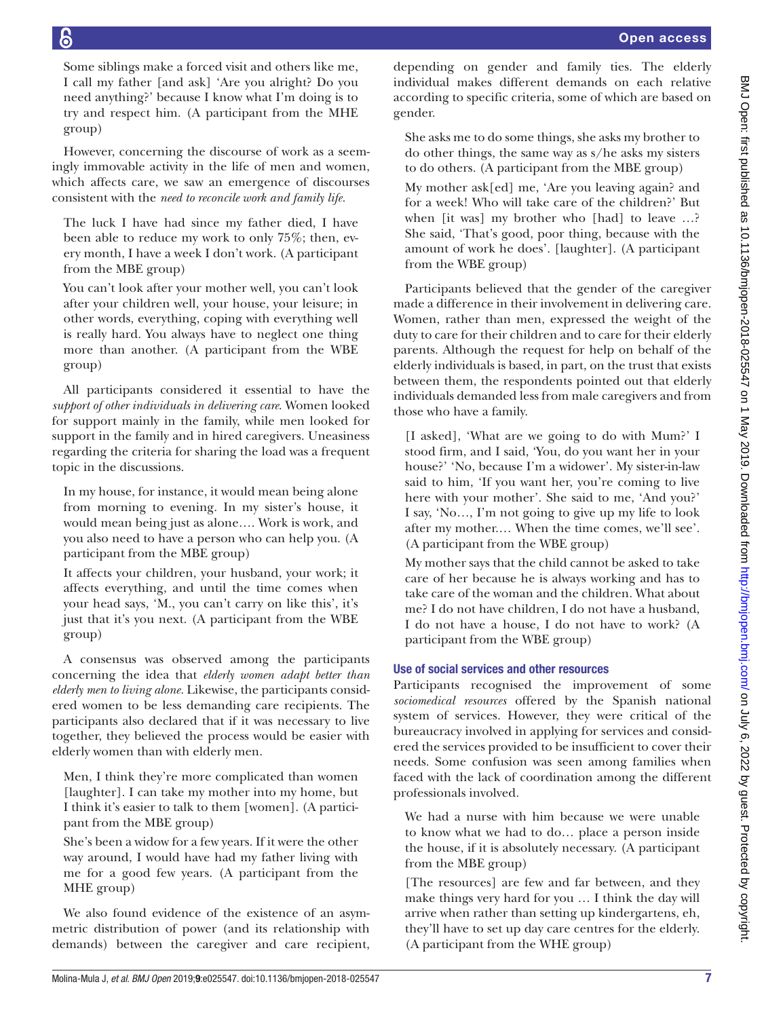Some siblings make a forced visit and others like me, I call my father [and ask] 'Are you alright? Do you need anything?' because I know what I'm doing is to try and respect him. (A participant from the MHE group)

However, concerning the discourse of work as a seemingly immovable activity in the life of men and women, which affects care, we saw an emergence of discourses consistent with the *need to reconcile work and family life.*

The luck I have had since my father died, I have been able to reduce my work to only 75%; then, every month, I have a week I don't work. (A participant from the MBE group)

You can't look after your mother well, you can't look after your children well, your house, your leisure; in other words, everything, coping with everything well is really hard. You always have to neglect one thing more than another. (A participant from the WBE group)

All participants considered it essential to have the *support of other individuals in delivering care*. Women looked for support mainly in the family, while men looked for support in the family and in hired caregivers. Uneasiness regarding the criteria for sharing the load was a frequent topic in the discussions.

In my house, for instance, it would mean being alone from morning to evening. In my sister's house, it would mean being just as alone…. Work is work, and you also need to have a person who can help you. (A participant from the MBE group)

It affects your children, your husband, your work; it affects everything, and until the time comes when your head says, 'M., you can't carry on like this', it's just that it's you next. (A participant from the WBE group)

A consensus was observed among the participants concerning the idea that *elderly women adapt better than elderly men to living alone.* Likewise, the participants considered women to be less demanding care recipients. The participants also declared that if it was necessary to live together, they believed the process would be easier with elderly women than with elderly men.

Men, I think they're more complicated than women [laughter]. I can take my mother into my home, but I think it's easier to talk to them [women]. (A participant from the MBE group)

She's been a widow for a few years. If it were the other way around, I would have had my father living with me for a good few years. (A participant from the MHE group)

We also found evidence of the existence of an asymmetric distribution of power (and its relationship with demands) between the caregiver and care recipient, depending on gender and family ties. The elderly individual makes different demands on each relative according to specific criteria, some of which are based on gender.

She asks me to do some things, she asks my brother to do other things, the same way as s/he asks my sisters to do others. (A participant from the MBE group)

My mother ask[ed] me, 'Are you leaving again? and for a week! Who will take care of the children?' But when [it was] my brother who [had] to leave …? She said, 'That's good, poor thing, because with the amount of work he does'. [laughter]. (A participant from the WBE group)

Participants believed that the gender of the caregiver made a difference in their involvement in delivering care. Women, rather than men, expressed the weight of the duty to care for their children and to care for their elderly parents. Although the request for help on behalf of the elderly individuals is based, in part, on the trust that exists between them, the respondents pointed out that elderly individuals demanded less from male caregivers and from those who have a family.

[I asked], 'What are we going to do with Mum?' I stood firm, and I said, 'You, do you want her in your house?' 'No, because I'm a widower'. My sister-in-law said to him, 'If you want her, you're coming to live here with your mother'. She said to me, 'And you?' I say, 'No…, I'm not going to give up my life to look after my mother.… When the time comes, we'll see'. (A participant from the WBE group)

My mother says that the child cannot be asked to take care of her because he is always working and has to take care of the woman and the children. What about me? I do not have children, I do not have a husband, I do not have a house, I do not have to work? (A participant from the WBE group)

# Use of social services and other resources

Participants recognised the improvement of some *sociomedical resources* offered by the Spanish national system of services. However, they were critical of the bureaucracy involved in applying for services and considered the services provided to be insufficient to cover their needs. Some confusion was seen among families when faced with the lack of coordination among the different professionals involved.

We had a nurse with him because we were unable to know what we had to do… place a person inside the house, if it is absolutely necessary. (A participant from the MBE group)

[The resources] are few and far between, and they make things very hard for you … I think the day will arrive when rather than setting up kindergartens, eh, they'll have to set up day care centres for the elderly. (A participant from the WHE group)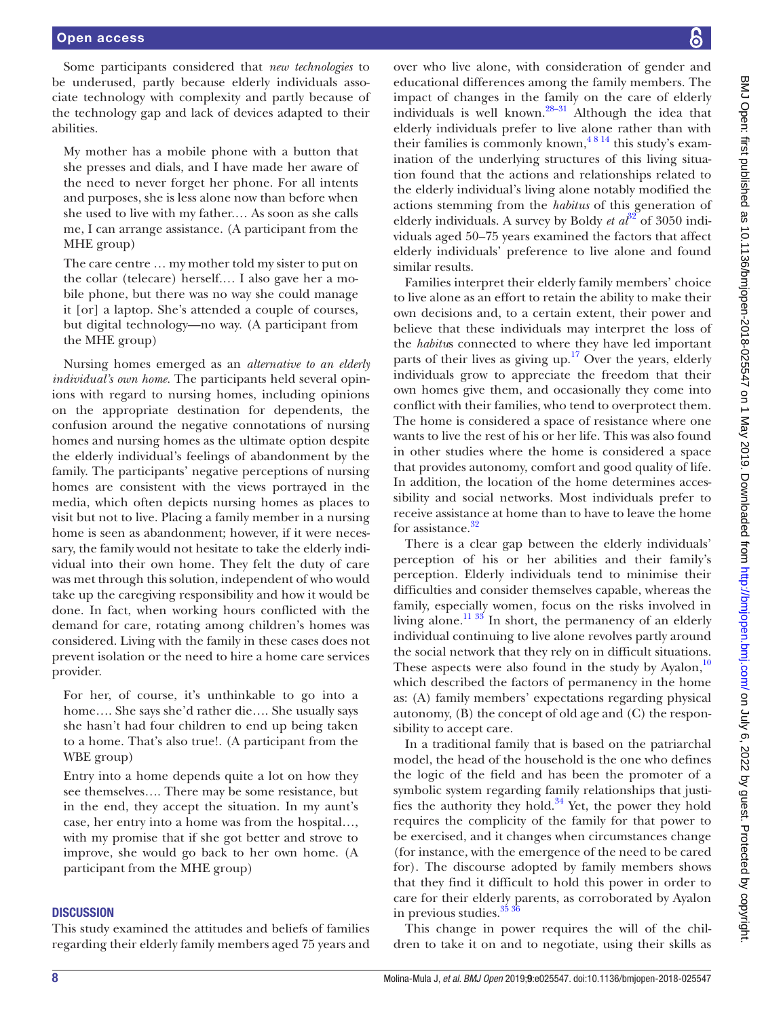Some participants considered that *new technologies* to be underused, partly because elderly individuals associate technology with complexity and partly because of the technology gap and lack of devices adapted to their abilities.

My mother has a mobile phone with a button that she presses and dials, and I have made her aware of the need to never forget her phone. For all intents and purposes, she is less alone now than before when she used to live with my father.… As soon as she calls me, I can arrange assistance. (A participant from the MHE group)

The care centre … my mother told my sister to put on the collar (telecare) herself.… I also gave her a mobile phone, but there was no way she could manage it [or] a laptop. She's attended a couple of courses, but digital technology—no way. (A participant from the MHE group)

Nursing homes emerged as an *alternative to an elderly individual's own home.* The participants held several opinions with regard to nursing homes, including opinions on the appropriate destination for dependents, the confusion around the negative connotations of nursing homes and nursing homes as the ultimate option despite the elderly individual's feelings of abandonment by the family. The participants' negative perceptions of nursing homes are consistent with the views portrayed in the media, which often depicts nursing homes as places to visit but not to live. Placing a family member in a nursing home is seen as abandonment; however, if it were necessary, the family would not hesitate to take the elderly individual into their own home. They felt the duty of care was met through this solution, independent of who would take up the caregiving responsibility and how it would be done. In fact, when working hours conflicted with the demand for care, rotating among children's homes was considered. Living with the family in these cases does not prevent isolation or the need to hire a home care services provider.

For her, of course, it's unthinkable to go into a home…. She says she'd rather die…. She usually says she hasn't had four children to end up being taken to a home. That's also true!. (A participant from the WBE group)

Entry into a home depends quite a lot on how they see themselves…. There may be some resistance, but in the end, they accept the situation. In my aunt's case, her entry into a home was from the hospital…, with my promise that if she got better and strove to improve, she would go back to her own home. (A participant from the MHE group)

#### **DISCUSSION**

This study examined the attitudes and beliefs of families regarding their elderly family members aged 75 years and

over who live alone, with consideration of gender and educational differences among the family members. The impact of changes in the family on the care of elderly individuals is well known[.28–31](#page-10-4) Although the idea that elderly individuals prefer to live alone rather than with their families is commonly known,  $4814$  this study's examination of the underlying structures of this living situation found that the actions and relationships related to the elderly individual's living alone notably modified the actions stemming from the *habitus* of this generation of elderly individuals. A survey by Boldy *et*  $a\tilde{t}^2$  of 3050 individuals aged 50–75 years examined the factors that affect elderly individuals' preference to live alone and found similar results.

Families interpret their elderly family members' choice to live alone as an effort to retain the ability to make their own decisions and, to a certain extent, their power and believe that these individuals may interpret the loss of the *habitu*s connected to where they have led important parts of their lives as giving up. $17$  Over the years, elderly individuals grow to appreciate the freedom that their own homes give them, and occasionally they come into conflict with their families, who tend to overprotect them. The home is considered a space of resistance where one wants to live the rest of his or her life. This was also found in other studies where the home is considered a space that provides autonomy, comfort and good quality of life. In addition, the location of the home determines accessibility and social networks. Most individuals prefer to receive assistance at home than to have to leave the home for assistance.<sup>[32](#page-10-5)</sup>

There is a clear gap between the elderly individuals' perception of his or her abilities and their family's perception. Elderly individuals tend to minimise their difficulties and consider themselves capable, whereas the family, especially women, focus on the risks involved in living alone.<sup>11 33</sup> In short, the permanency of an elderly individual continuing to live alone revolves partly around the social network that they rely on in difficult situations. These aspects were also found in the study by Ayalon, $10$ which described the factors of permanency in the home as: (A) family members' expectations regarding physical autonomy, (B) the concept of old age and (C) the responsibility to accept care.

In a traditional family that is based on the patriarchal model, the head of the household is the one who defines the logic of the field and has been the promoter of a symbolic system regarding family relationships that justifies the authority they hold.<sup>34</sup> Yet, the power they hold requires the complicity of the family for that power to be exercised, and it changes when circumstances change (for instance, with the emergence of the need to be cared for). The discourse adopted by family members shows that they find it difficult to hold this power in order to care for their elderly parents, as corroborated by Ayalon in previous studies. $35\frac{36}{10}$ 

This change in power requires the will of the children to take it on and to negotiate, using their skills as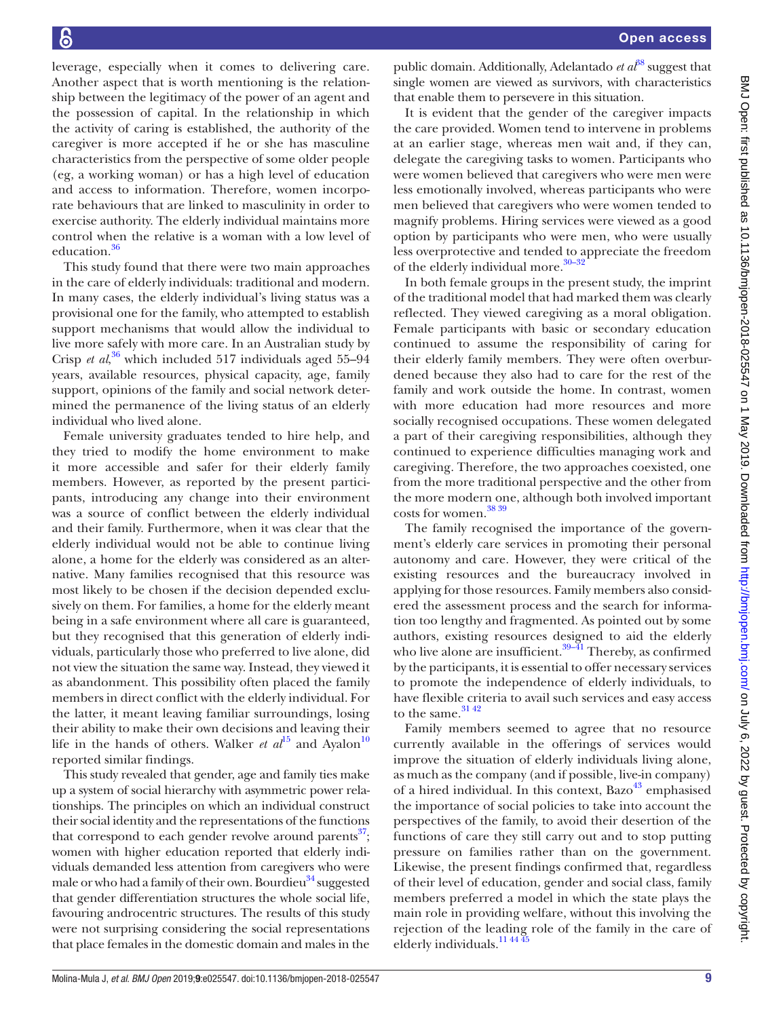leverage, especially when it comes to delivering care. Another aspect that is worth mentioning is the relationship between the legitimacy of the power of an agent and the possession of capital. In the relationship in which the activity of caring is established, the authority of the caregiver is more accepted if he or she has masculine characteristics from the perspective of some older people (eg, a working woman) or has a high level of education and access to information. Therefore, women incorporate behaviours that are linked to masculinity in order to exercise authority. The elderly individual maintains more control when the relative is a woman with a low level of education.[36](#page-10-8)

This study found that there were two main approaches in the care of elderly individuals: traditional and modern. In many cases, the elderly individual's living status was a provisional one for the family, who attempted to establish support mechanisms that would allow the individual to live more safely with more care. In an Australian study by Crisp *et al*, [36](#page-10-8) which included 517 individuals aged 55–94 years, available resources, physical capacity, age, family support, opinions of the family and social network determined the permanence of the living status of an elderly individual who lived alone.

Female university graduates tended to hire help, and they tried to modify the home environment to make it more accessible and safer for their elderly family members. However, as reported by the present participants, introducing any change into their environment was a source of conflict between the elderly individual and their family. Furthermore, when it was clear that the elderly individual would not be able to continue living alone, a home for the elderly was considered as an alternative. Many families recognised that this resource was most likely to be chosen if the decision depended exclusively on them. For families, a home for the elderly meant being in a safe environment where all care is guaranteed, but they recognised that this generation of elderly individuals, particularly those who preferred to live alone, did not view the situation the same way. Instead, they viewed it as abandonment. This possibility often placed the family members in direct conflict with the elderly individual. For the latter, it meant leaving familiar surroundings, losing their ability to make their own decisions and leaving their life in the hands of others. Walker *et*  $al^{15}$  and Ayalon<sup>10</sup> reported similar findings.

This study revealed that gender, age and family ties make up a system of social hierarchy with asymmetric power relationships. The principles on which an individual construct their social identity and the representations of the functions that correspond to each gender revolve around parents $^{37}$ ; women with higher education reported that elderly individuals demanded less attention from caregivers who were male or who had a family of their own. Bourdieu<sup>[34](#page-10-6)</sup> suggested that gender differentiation structures the whole social life, favouring androcentric structures. The results of this study were not surprising considering the social representations that place females in the domestic domain and males in the

public domain. Additionally, Adelantado *et al*<sup>88</sup> suggest that single women are viewed as survivors, with characteristics that enable them to persevere in this situation.

It is evident that the gender of the caregiver impacts the care provided. Women tend to intervene in problems at an earlier stage, whereas men wait and, if they can, delegate the caregiving tasks to women. Participants who were women believed that caregivers who were men were less emotionally involved, whereas participants who were men believed that caregivers who were women tended to magnify problems. Hiring services were viewed as a good option by participants who were men, who were usually less overprotective and tended to appreciate the freedom of the elderly individual more.<sup>30-32</sup>

In both female groups in the present study, the imprint of the traditional model that had marked them was clearly reflected. They viewed caregiving as a moral obligation. Female participants with basic or secondary education continued to assume the responsibility of caring for their elderly family members. They were often overburdened because they also had to care for the rest of the family and work outside the home. In contrast, women with more education had more resources and more socially recognised occupations. These women delegated a part of their caregiving responsibilities, although they continued to experience difficulties managing work and caregiving. Therefore, the two approaches coexisted, one from the more traditional perspective and the other from the more modern one, although both involved important costs for women.[38 39](#page-10-10)

The family recognised the importance of the government's elderly care services in promoting their personal autonomy and care. However, they were critical of the existing resources and the bureaucracy involved in applying for those resources. Family members also considered the assessment process and the search for information too lengthy and fragmented. As pointed out by some authors, existing resources designed to aid the elderly who live alone are insufficient.<sup>39–41</sup> Thereby, as confirmed by the participants, it is essential to offer necessary services to promote the independence of elderly individuals, to have flexible criteria to avail such services and easy access to the same.  $^\mathrm{31\,42}$ 

Family members seemed to agree that no resource currently available in the offerings of services would improve the situation of elderly individuals living alone, as much as the company (and if possible, live-in company) of a hired individual. In this context, Bazo<sup>[43](#page-10-14)</sup> emphasised the importance of social policies to take into account the perspectives of the family, to avoid their desertion of the functions of care they still carry out and to stop putting pressure on families rather than on the government. Likewise, the present findings confirmed that, regardless of their level of education, gender and social class, family members preferred a model in which the state plays the main role in providing welfare, without this involving the rejection of the leading role of the family in the care of elderly individuals.<sup>11</sup> <sup>44</sup> <sup>45</sup>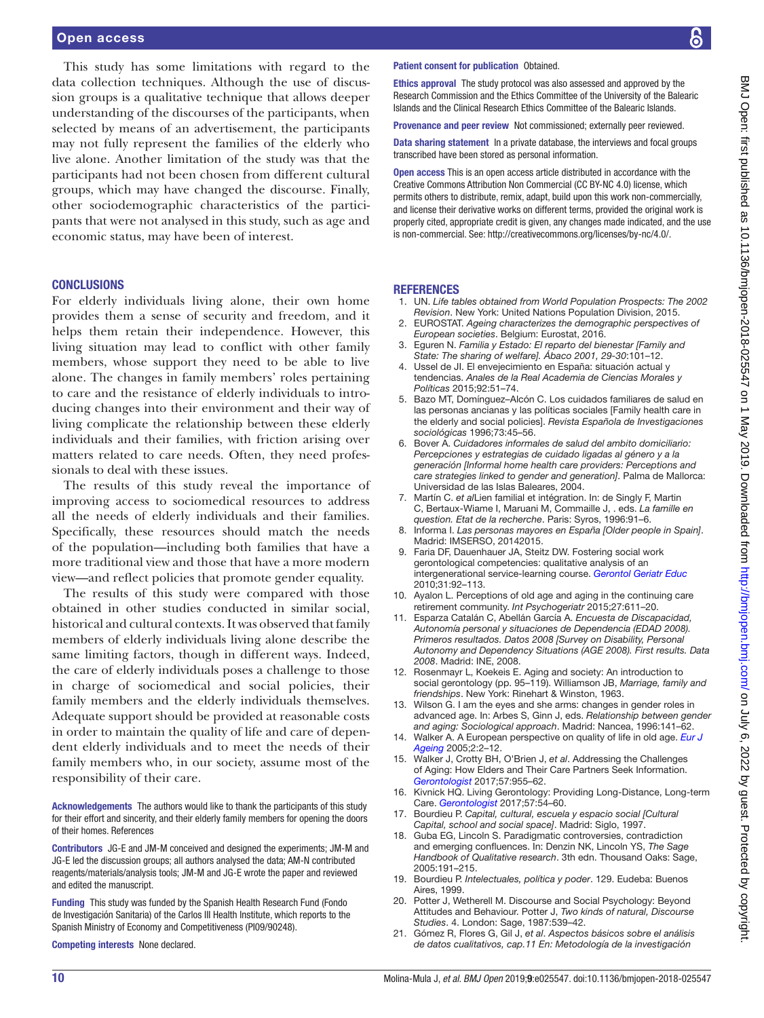#### Open access

This study has some limitations with regard to the data collection techniques. Although the use of discussion groups is a qualitative technique that allows deeper understanding of the discourses of the participants, when selected by means of an advertisement, the participants may not fully represent the families of the elderly who live alone. Another limitation of the study was that the participants had not been chosen from different cultural groups, which may have changed the discourse. Finally, other sociodemographic characteristics of the participants that were not analysed in this study, such as age and economic status, may have been of interest.

#### **CONCLUSIONS**

For elderly individuals living alone, their own home provides them a sense of security and freedom, and it helps them retain their independence. However, this living situation may lead to conflict with other family members, whose support they need to be able to live alone. The changes in family members' roles pertaining to care and the resistance of elderly individuals to introducing changes into their environment and their way of living complicate the relationship between these elderly individuals and their families, with friction arising over matters related to care needs. Often, they need professionals to deal with these issues.

The results of this study reveal the importance of improving access to sociomedical resources to address all the needs of elderly individuals and their families. Specifically, these resources should match the needs of the population—including both families that have a more traditional view and those that have a more modern view—and reflect policies that promote gender equality.

The results of this study were compared with those obtained in other studies conducted in similar social, historical and cultural contexts. It was observed that family members of elderly individuals living alone describe the same limiting factors, though in different ways. Indeed, the care of elderly individuals poses a challenge to those in charge of sociomedical and social policies, their family members and the elderly individuals themselves. Adequate support should be provided at reasonable costs in order to maintain the quality of life and care of dependent elderly individuals and to meet the needs of their family members who, in our society, assume most of the responsibility of their care.

Acknowledgements The authors would like to thank the participants of this study for their effort and sincerity, and their elderly family members for opening the doors of their homes. References

Contributors JG-E and JM-M conceived and designed the experiments; JM-M and JG-E led the discussion groups; all authors analysed the data; AM-N contributed reagents/materials/analysis tools; JM-M and JG-E wrote the paper and reviewed and edited the manuscript.

Funding This study was funded by the Spanish Health Research Fund (Fondo de Investigación Sanitaria) of the Carlos III Health Institute, which reports to the Spanish Ministry of Economy and Competitiveness (PI09/90248).

Competing interests None declared.

#### Patient consent for publication Obtained.

Ethics approval The study protocol was also assessed and approved by the Research Commission and the Ethics Committee of the University of the Balearic Islands and the Clinical Research Ethics Committee of the Balearic Islands.

Provenance and peer review Not commissioned; externally peer reviewed.

Data sharing statement In a private database, the interviews and focal groups transcribed have been stored as personal information.

Open access This is an open access article distributed in accordance with the Creative Commons Attribution Non Commercial (CC BY-NC 4.0) license, which permits others to distribute, remix, adapt, build upon this work non-commercially, and license their derivative works on different terms, provided the original work is properly cited, appropriate credit is given, any changes made indicated, and the use is non-commercial. See: [http://creativecommons.org/licenses/by-nc/4.0/.](http://creativecommons.org/licenses/by-nc/4.0/)

#### **REFERENCES**

- <span id="page-9-0"></span>1. UN. *Life tables obtained from World Population Prospects: The 2002 Revision*. New York: United Nations Population Division, 2015.
- <span id="page-9-1"></span>2. EUROSTAT. *Ageing characterizes the demographic perspectives of European societies*. Belgium: Eurostat, 2016.
- <span id="page-9-2"></span>3. Eguren N. *Familia y Estado: El reparto del bienestar [Family and State: The sharing of welfare]. Ábaco 2001, 29-30*:101–12.
- <span id="page-9-3"></span>4. Ussel de JI. El envejecimiento en España: situación actual y tendencias. *Anales de la Real Academia de Ciencias Morales y Políticas* 2015;92:51–74.
- <span id="page-9-4"></span>5. Bazo MT, Domínguez–Alcón C. Los cuidados familiares de salud en las personas ancianas y las políticas sociales [Family health care in the elderly and social policies]. *Revista Española de Investigaciones sociológicas* 1996;73:45–56.
- 6. Bover A. *Cuidadores informales de salud del ambito domiciliario: Percepciones y estrategias de cuidado ligadas al género y a la generación [Informal home health care providers: Perceptions and care strategies linked to gender and generation]*. Palma de Mallorca: Universidad de las Islas Baleares, 2004.
- <span id="page-9-5"></span>7. Martín C. *et al*Lien familial et intégration. In: de Singly F, Martin C, Bertaux-Wiame I, Maruani M, Commaille J, . eds. *La famille en question. Etat de la recherche*. Paris: Syros, 1996:91–6.
- <span id="page-9-6"></span>8. Informa I. *Las personas mayores en España [Older people in Spain]*. Madrid: IMSERSO, 20142015.
- <span id="page-9-7"></span>9. Faria DF, Dauenhauer JA, Steitz DW. Fostering social work gerontological competencies: qualitative analysis of an intergenerational service-learning course. *[Gerontol Geriatr Educ](http://dx.doi.org/10.1080/02701960903578378)* 2010;31:92–113.
- <span id="page-9-8"></span>10. Ayalon L. Perceptions of old age and aging in the continuing care retirement community. *Int Psychogeriatr* 2015;27:611–20.
- <span id="page-9-9"></span>11. Esparza Catalán C, Abellán García A. *Encuesta de Discapacidad, Autonomía personal y situaciones de Dependencia (EDAD 2008). Primeros resultados. Datos 2008 [Survey on Disability, Personal Autonomy and Dependency Situations (AGE 2008). First results. Data 2008*. Madrid: INE, 2008.
- <span id="page-9-10"></span>12. Rosenmayr L, Koekeis E. Aging and society: An introduction to social gerontology (pp. 95–119). Williamson JB, *Marriage, family and friendships*. New York: Rinehart & Winston, 1963.
- <span id="page-9-11"></span>13. Wilson G. I am the eyes and she arms: changes in gender roles in advanced age. In: Arbes S, Ginn J, eds. *Relationship between gender and aging: Sociological approach*. Madrid: Nancea, 1996:141–62.
- <span id="page-9-12"></span>14. Walker A. A European perspective on quality of life in old age. *[Eur J](http://dx.doi.org/10.1007/s10433-005-0500-0)  [Ageing](http://dx.doi.org/10.1007/s10433-005-0500-0)* 2005;2:2–12.
- <span id="page-9-13"></span>15. Walker J, Crotty BH, O'Brien J, *et al*. Addressing the Challenges of Aging: How Elders and Their Care Partners Seek Information. *[Gerontologist](http://dx.doi.org/10.1093/geront/gnw060)* 2017;57:955–62.
- <span id="page-9-14"></span>16. Kivnick HQ. Living Gerontology: Providing Long-Distance, Long-term Care. *[Gerontologist](http://dx.doi.org/10.1093/geront/gnw107)* 2017;57:54–60.
- <span id="page-9-15"></span>17. Bourdieu P. *Capital, cultural, escuela y espacio social [Cultural Capital, school and social space]*. Madrid: Siglo, 1997.
- <span id="page-9-16"></span>18. Guba EG, Lincoln S. Paradigmatic controversies, contradiction and emerging confluences. In: Denzin NK, Lincoln YS, *The Sage Handbook of Qualitative research*. 3th edn. Thousand Oaks: Sage, 2005:191–215.
- <span id="page-9-17"></span>19. Bourdieu P. *Intelectuales, política y poder*. 129. Eudeba: Buenos Aires, 1999.
- <span id="page-9-18"></span>20. Potter J, Wetherell M. Discourse and Social Psychology: Beyond Attitudes and Behaviour. Potter J, *Two kinds of natural, Discourse Studies*. 4. London: Sage, 1987:539–42.
- <span id="page-9-19"></span>21. Gómez R, Flores G, Gil J, *et al*. *Aspectos básicos sobre el análisis de datos cualitativos, cap.11 En: Metodología de la investigación*